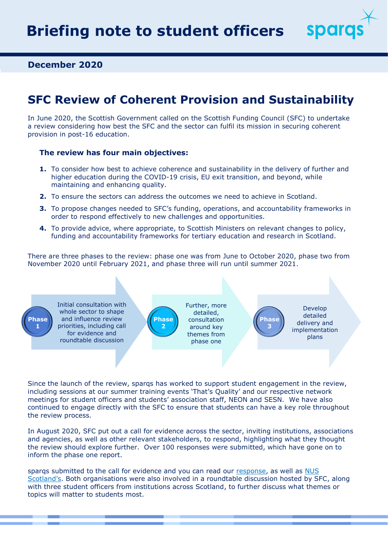spara

**December 2020**

# **SFC Review of Coherent Provision and Sustainability**

In June 2020, the Scottish Government called on the Scottish Funding Council (SFC) to undertake a review considering how best the SFC and the sector can fulfil its mission in securing coherent provision in post-16 education.

#### **The review has four main objectives:**

- **1.** To consider how best to achieve coherence and sustainability in the delivery of further and higher education during the COVID-19 crisis, EU exit transition, and beyond, while maintaining and enhancing quality.
- **2.** To ensure the sectors can address the outcomes we need to achieve in Scotland.
- **3.** To propose changes needed to SFC's funding, operations, and accountability frameworks in order to respond effectively to new challenges and opportunities.
- **4.** To provide advice, where appropriate, to Scottish Ministers on relevant changes to policy, funding and accountability frameworks for tertiary education and research in Scotland.

There are three phases to the review: phase one was from June to October 2020, phase two from November 2020 until February 2021, and phase three will run until summer 2021.



Since the launch of the review, sparqs has worked to support student engagement in the review, including sessions at our summer training events 'That's Quality' and our respective network meetings for student officers and students' association staff, NEON and SESN. We have also continued to engage directly with the SFC to ensure that students can have a key role throughout the review process.

In August 2020, SFC put out a call for evidence across the sector, inviting institutions, associations and agencies, as well as other relevant stakeholders, to respond, highlighting what they thought the review should explore further. Over 100 responses were submitted, which have gone on to inform the phase one report.

sparqs submitted to the call for evidence and you can read our [response,](https://www.sparqs.ac.uk/upfiles/SFC%20Review%20%20-%20sparqs%20response.pdf) as well as NUS [Scotland's](https://www.sparqs.ac.uk/upfiles/SFC%20Review%20-%20NUS%20Scotland%20response.pdf). Both organisations were also involved in a roundtable discussion hosted by SFC, along with three student officers from institutions across Scotland, to further discuss what themes or topics will matter to students most.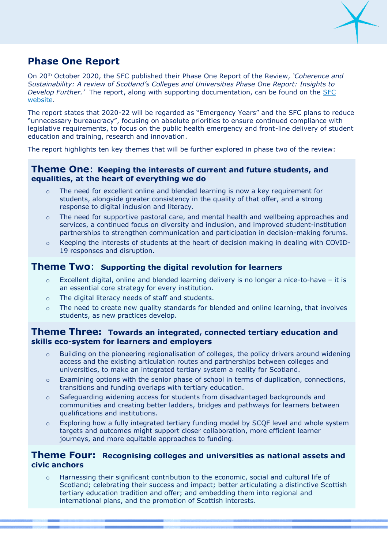

# **Phase One Report**

On 20th October 2020, the SFC published their Phase One Report of the Review, *'Coherence and Sustainability: A review of Scotland's Colleges and Universities Phase One Report: Insights to Develop Further.'* The report, along with supporting documentation, can be found on the [SFC](http://www.sfc.ac.uk/review/review.aspx)  [website.](http://www.sfc.ac.uk/review/review.aspx)

The report states that 2020-22 will be regarded as "Emergency Years" and the SFC plans to reduce "unnecessary bureaucracy", focusing on absolute priorities to ensure continued compliance with legislative requirements, to focus on the public health emergency and front-line delivery of student education and training, research and innovation.

The report highlights ten key themes that will be further explored in phase two of the review:

#### **Theme One**: **Keeping the interests of current and future students, and equalities, at the heart of everything we do**

- $\circ$  The need for excellent online and blended learning is now a key requirement for students, alongside greater consistency in the quality of that offer, and a strong response to digital inclusion and literacy.
- $\circ$  The need for supportive pastoral care, and mental health and wellbeing approaches and services, a continued focus on diversity and inclusion, and improved student-institution partnerships to strengthen communication and participation in decision-making forums.
- o Keeping the interests of students at the heart of decision making in dealing with COVID-19 responses and disruption.

#### **Theme Two**: **Supporting the digital revolution for learners**

- $\circ$  Excellent digital, online and blended learning delivery is no longer a nice-to-have it is an essential core strategy for every institution.
- o The digital literacy needs of staff and students.
- $\circ$  The need to create new quality standards for blended and online learning, that involves students, as new practices develop.

#### **Theme Three: Towards an integrated, connected tertiary education and skills eco-system for learners and employers**

- o Building on the pioneering regionalisation of colleges, the policy drivers around widening access and the existing articulation routes and partnerships between colleges and universities, to make an integrated tertiary system a reality for Scotland.
- $\circ$  Examining options with the senior phase of school in terms of duplication, connections, transitions and funding overlaps with tertiary education.
- $\circ$  Safeguarding widening access for students from disadvantaged backgrounds and communities and creating better ladders, bridges and pathways for learners between qualifications and institutions.
- o Exploring how a fully integrated tertiary funding model by SCQF level and whole system targets and outcomes might support closer collaboration, more efficient learner journeys, and more equitable approaches to funding.

#### **Theme Four: Recognising colleges and universities as national assets and civic anchors**

o Harnessing their significant contribution to the economic, social and cultural life of Scotland; celebrating their success and impact; better articulating a distinctive Scottish tertiary education tradition and offer; and embedding them into regional and international plans, and the promotion of Scottish interests.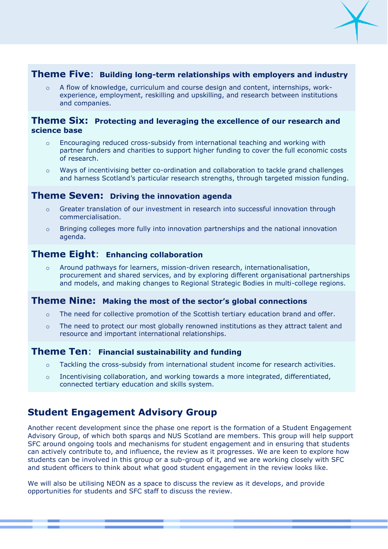

### **Theme Five**: **Building long-term relationships with employers and industry**

A flow of knowledge, curriculum and course design and content, internships, workexperience, employment, reskilling and upskilling, and research between institutions and companies.

#### **Theme Six: Protecting and leveraging the excellence of our research and science base**

- $\circ$  Encouraging reduced cross-subsidy from international teaching and working with partner funders and charities to support higher funding to cover the full economic costs of research.
- o Ways of incentivising better co-ordination and collaboration to tackle grand challenges and harness Scotland's particular research strengths, through targeted mission funding.

#### **Theme Seven: Driving the innovation agenda**

- o Greater translation of our investment in research into successful innovation through commercialisation.
- $\circ$  Bringing colleges more fully into innovation partnerships and the national innovation agenda.

### **Theme Eight**: **Enhancing collaboration**

o Around pathways for learners, mission-driven research, internationalisation, procurement and shared services, and by exploring different organisational partnerships and models, and making changes to Regional Strategic Bodies in multi-college regions.

#### **Theme Nine: Making the most of the sector's global connections**

- $\circ$  The need for collective promotion of the Scottish tertiary education brand and offer.
- $\circ$  The need to protect our most globally renowned institutions as they attract talent and resource and important international relationships.

#### **Theme Ten**: **Financial sustainability and funding**

- $\circ$  Tackling the cross-subsidy from international student income for research activities.
- o Incentivising collaboration, and working towards a more integrated, differentiated, connected tertiary education and skills system.

### **Student Engagement Advisory Group**

Another recent development since the phase one report is the formation of a Student Engagement Advisory Group, of which both sparqs and NUS Scotland are members. This group will help support SFC around ongoing tools and mechanisms for student engagement and in ensuring that students can actively contribute to, and influence, the review as it progresses. We are keen to explore how students can be involved in this group or a sub-group of it, and we are working closely with SFC and student officers to think about what good student engagement in the review looks like.

We will also be utilising NEON as a space to discuss the review as it develops, and provide opportunities for students and SFC staff to discuss the review.